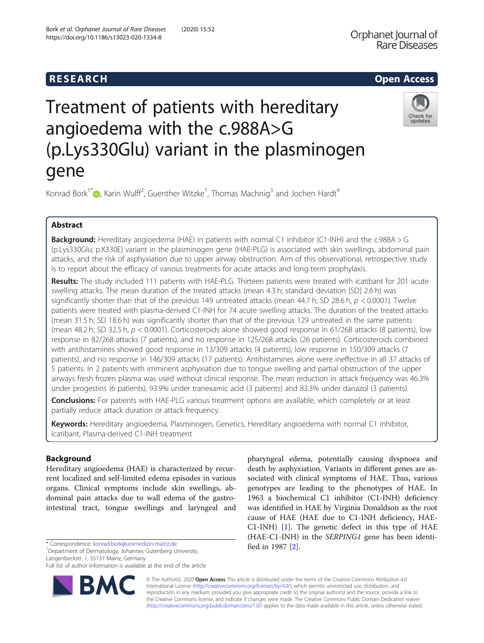## **RESEARCH CHILD CONTROL** CONTROL CONTROL CONTROL CONTROL CONTROL CONTROL CONTROL CONTROL CONTROL CONTROL CONTROL CONTROL CONTROL CONTROL CONTROL CONTROL CONTROL CONTROL CONTROL CONTROL CONTROL CONTROL CONTROL CONTROL CONTR



# Treatment of patients with hereditary angioedema with the c.988A>G (p.Lys330Glu) variant in the plasminogen gene

Konrad Bork<sup>1[\\*](http://orcid.org/0000-0002-6084-4577)</sup> $\bm{\circ}$ , Karin Wulff<sup>2</sup>, Guenther Witzke<sup>1</sup>, Thomas Machnig<sup>3</sup> and Jochen Hardt<sup>4</sup>

### Abstract

Background: Hereditary angioedema (HAE) in patients with normal C1 inhibitor (C1-INH) and the c.988A > G (p.Lys330Glu; p.K330E) variant in the plasminogen gene (HAE-PLG) is associated with skin swellings, abdominal pain attacks, and the risk of asphyxiation due to upper airway obstruction. Aim of this observational, retrospective study is to report about the efficacy of various treatments for acute attacks and long-term prophylaxis.

Results: The study included 111 patients with HAE-PLG. Thirteen patients were treated with icatibant for 201 acute swelling attacks. The mean duration of the treated attacks (mean 4.3 h; standard deviation [SD] 2.6 h) was significantly shorter than that of the previous 149 untreated attacks (mean 44.7 h; SD 28.6 h,  $p < 0.0001$ ). Twelve patients were treated with plasma-derived C1-INH for 74 acute swelling attacks. The duration of the treated attacks (mean 31.5 h; SD 18.6 h) was significantly shorter than that of the previous 129 untreated in the same patients (mean 48.2 h; SD 32.5 h,  $p < 0.0001$ ). Corticosteroids alone showed good response in 61/268 attacks (8 patients), low response in 82/268 attacks (7 patients), and no response in 125/268 attacks (26 patients). Corticosteroids combined with antihistamines showed good response in 13/309 attacks (4 patients), low response in 150/309 attacks (7 patients), and no response in 146/309 attacks (17 patients). Antihistamines alone were ineffective in all 37 attacks of 5 patients. In 2 patients with imminent asphyxiation due to tongue swelling and partial obstruction of the upper airways fresh frozen plasma was used without clinical response. The mean reduction in attack frequency was 46.3% under progestins (6 patients), 93.9% under tranexamic acid (3 patients) and 83.3% under danazol (3 patients).

**Conclusions:** For patients with HAE-PLG various treatment options are available, which completely or at least partially reduce attack duration or attack frequency.

Keywords: Hereditary angioedema, Plasminogen, Genetics, Hereditary angioedema with normal C1 inhibitor, Icatibant, Plasma-derived C1-INH treatment

### Background

Hereditary angioedema (HAE) is characterized by recurrent localized and self-limited edema episodes in various organs. Clinical symptoms include skin swellings, abdominal pain attacks due to wall edema of the gastrointestinal tract, tongue swellings and laryngeal and

\* Correspondence: [konrad.bork@unimedizin-mainz.de](mailto:konrad.bork@unimedizin-mainz.de) <sup>1</sup>

<sup>1</sup>Department of Dermatology, Johannes Gutenberg University, Langenbeckstr. 1, 55131 Mainz, Germany

Full list of author information is available at the end of the article



pharyngeal edema, potentially causing dyspnoea and death by asphyxiation. Variants in different genes are associated with clinical symptoms of HAE. Thus, various genotypes are leading to the phenotypes of HAE. In 1963 a biochemical C1 inhibitor (C1-INH) deficiency was identified in HAE by Virginia Donaldson as the root cause of HAE (HAE due to C1-INH deficiency, HAE-C1-INH) [[1\]](#page-8-0). The genetic defect in this type of HAE (HAE-C1-INH) in the SERPING1 gene has been identified in 1987 [\[2](#page-8-0)].

© The Author(s). 2020 Open Access This article is distributed under the terms of the Creative Commons Attribution 4.0 International License [\(http://creativecommons.org/licenses/by/4.0/](http://creativecommons.org/licenses/by/4.0/)), which permits unrestricted use, distribution, and reproduction in any medium, provided you give appropriate credit to the original author(s) and the source, provide a link to the Creative Commons license, and indicate if changes were made. The Creative Commons Public Domain Dedication waiver [\(http://creativecommons.org/publicdomain/zero/1.0/](http://creativecommons.org/publicdomain/zero/1.0/)) applies to the data made available in this article, unless otherwise stated.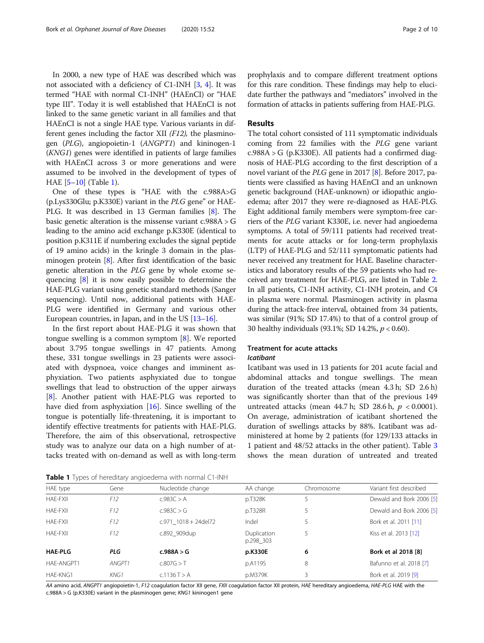In 2000, a new type of HAE was described which was not associated with a deficiency of C1-INH [[3](#page-8-0), [4\]](#page-8-0). It was termed "HAE with normal C1-INH" (HAEnCI) or "HAE type III". Today it is well established that HAEnCI is not linked to the same genetic variant in all families and that HAEnCI is not a single HAE type. Various variants in different genes including the factor XII (F12), the plasminogen (PLG), angiopoietin-1 (ANGPT1) and kininogen-1 (KNG1) genes were identified in patients of large families with HAEnCI across 3 or more generations and were assumed to be involved in the development of types of HAE [\[5](#page-8-0)–[10\]](#page-9-0) (Table 1).

One of these types is "HAE with the c.988A>G (p.Lys330Glu; p.K330E) variant in the PLG gene" or HAE-PLG. It was described in 13 German families [[8](#page-9-0)]. The basic genetic alteration is the missense variant c.988A > G leading to the amino acid exchange p.K330E (identical to position p.K311E if numbering excludes the signal peptide of 19 amino acids) in the kringle 3 domain in the plasminogen protein [[8\]](#page-9-0). After first identification of the basic genetic alteration in the PLG gene by whole exome sequencing [\[8](#page-9-0)] it is now easily possible to determine the HAE-PLG variant using genetic standard methods (Sanger sequencing). Until now, additional patients with HAE-PLG were identified in Germany and various other European countries, in Japan, and in the US [\[13](#page-9-0)–[16\]](#page-9-0).

In the first report about HAE-PLG it was shown that tongue swelling is a common symptom [[8\]](#page-9-0). We reported about 3.795 tongue swellings in 47 patients. Among these, 331 tongue swellings in 23 patients were associated with dyspnoea, voice changes and imminent asphyxiation. Two patients asphyxiated due to tongue swellings that lead to obstruction of the upper airways [[8\]](#page-9-0). Another patient with HAE-PLG was reported to have died from asphyxiation [\[16](#page-9-0)]. Since swelling of the tongue is potentially life-threatening, it is important to identify effective treatments for patients with HAE-PLG. Therefore, the aim of this observational, retrospective study was to analyze our data on a high number of attacks treated with on-demand as well as with long-term

Table 1 Types of hereditary angioedema with normal C1-INH

prophylaxis and to compare different treatment options for this rare condition. These findings may help to elucidate further the pathways and "mediators" involved in the formation of attacks in patients suffering from HAE-PLG.

#### Results

The total cohort consisted of 111 symptomatic individuals coming from 22 families with the PLG gene variant c.988A > G (p.K330E). All patients had a confirmed diagnosis of HAE-PLG according to the first description of a novel variant of the PLG gene in 2017 [\[8\]](#page-9-0). Before 2017, patients were classified as having HAEnCI and an unknown genetic background (HAE-unknown) or idiopathic angioedema; after 2017 they were re-diagnosed as HAE-PLG. Eight additional family members were symptom-free carriers of the PLG variant K330E, i.e. never had angioedema symptoms. A total of 59/111 patients had received treatments for acute attacks or for long-term prophylaxis (LTP) of HAE-PLG and 52/111 symptomatic patients had never received any treatment for HAE. Baseline characteristics and laboratory results of the 59 patients who had received any treatment for HAE-PLG, are listed in Table [2](#page-2-0). In all patients, C1-INH activity, C1-INH protein, and C4 in plasma were normal. Plasminogen activity in plasma during the attack-free interval, obtained from 34 patients, was similar (91%; SD 17.4%) to that of a control group of 30 healthy individuals (93.1%; SD 14.2%, p < 0.60).

#### Treatment for acute attacks Icatibant

Icatibant was used in 13 patients for 201 acute facial and abdominal attacks and tongue swellings. The mean duration of the treated attacks (mean 4.3 h; SD 2.6 h) was significantly shorter than that of the previous 149 untreated attacks (mean  $44.7$  h; SD 28.6 h,  $p < 0.0001$ ). On average, administration of icatibant shortened the duration of swellings attacks by 88%. Icatibant was administered at home by 2 patients (for 129/133 attacks in 1 patient and 48/52 attacks in the other patient). Table [3](#page-2-0) shows the mean duration of untreated and treated

|                 |        | <b>TWATE :</b> Types of Herewithing uniquoedering them noming entitled |                          |            |                          |
|-----------------|--------|------------------------------------------------------------------------|--------------------------|------------|--------------------------|
| HAE type        | Gene   | Nucleotide change                                                      | AA change                | Chromosome | Variant first described  |
| <b>HAE-FXII</b> | F12    | c.983C > A                                                             | p.T328K                  | 5          | Dewald and Bork 2006 [5] |
| <b>HAE-FXII</b> | F12    | c.983C > G                                                             | p.T328R                  | 5          | Dewald and Bork 2006 [5] |
| <b>HAE-FXII</b> | F12    | $c.971$ 1018 + 24del72                                                 | Indel                    | 5          | Bork et al. 2011 [11]    |
| <b>HAE-FXII</b> | F12    | c.892 909dup                                                           | Duplication<br>p.298_303 | 5          | Kiss et al. 2013 [12]    |
| <b>HAE-PLG</b>  | PLG    | c.988A > G                                                             | p.K330E                  | 6          | Bork et al 2018 [8]      |
| HAE-ANGPT1      | ANGPT1 | c.807G > T                                                             | p.A119S                  | 8          | Bafunno et al. 2018 [7]  |
| <b>HAE-KNG1</b> | KNG1   | c.1136T > A                                                            | p.M379K                  | 3          | Bork et al. 2019 [9]     |

AA amino acid, ANGPT1 angiopoietin-1, F12 coagulation factor XII gene, FXII coagulation factor XII protein, HAE hereditary angioedema, HAE-PLG HAE with the c.988A > G (p.K330E) variant in the plasminogen gene; KNG1 kininogen1 gene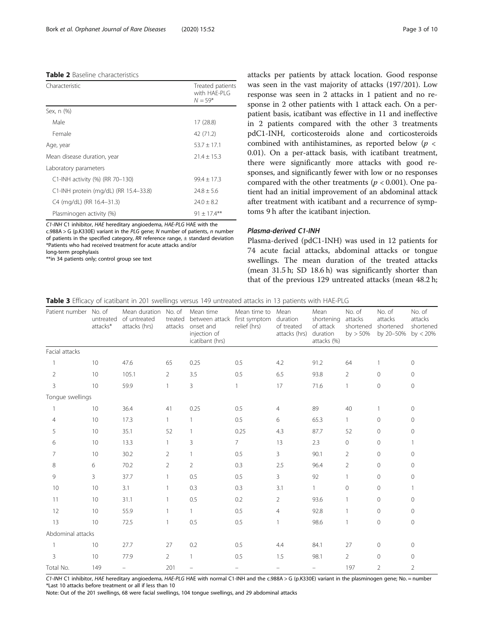#### <span id="page-2-0"></span>Table 2 Baseline characteristics

| Characteristic                        | Treated patients<br>with HAE-PLG<br>$N = 59*$ |
|---------------------------------------|-----------------------------------------------|
| Sex, n (%)                            |                                               |
| Male                                  | 17 (28.8)                                     |
| Female                                | 42 (71.2)                                     |
| Age, year                             | $53.7 + 17.1$                                 |
| Mean disease duration, year           | $21.4 + 15.3$                                 |
| Laboratory parameters                 |                                               |
| C1-INH activity (%) (RR 70-130)       | $99.4 + 17.3$                                 |
| C1-INH protein (mg/dL) (RR 15.4-33.8) | $24.8 \pm 5.6$                                |
| C4 (mg/dL) (RR 16.4-31.3)             | $74.0 + 8.2$                                  |
| Plasminogen activity (%)              | $91 \pm 17.4***$                              |

C1-INH C1 inhibitor, HAE hereditary angioedema, HAE-PLG HAE with the  $c.988A > G$  (p.K330E) variant in the PLG gene; N number of patients, n number of patients in the specified category, RR reference range, ± standard deviation \*Patients who had received treatment for acute attacks and/or long-term prophylaxis

\*\*in 34 patients only; control group see text

attacks per patients by attack location. Good response was seen in the vast majority of attacks (197/201). Low response was seen in 2 attacks in 1 patient and no response in 2 other patients with 1 attack each. On a perpatient basis, icatibant was effective in 11 and ineffective in 2 patients compared with the other 3 treatments pdC1-INH, corticosteroids alone and corticosteroids combined with antihistamines, as reported below ( $p <$ 0.01). On a per-attack basis, with icatibant treatment, there were significantly more attacks with good responses, and significantly fewer with low or no responses compared with the other treatments ( $p < 0.001$ ). One patient had an initial improvement of an abdominal attack after treatment with icatibant and a recurrence of symptoms 9 h after the icatibant injection.

#### Plasma-derived C1-INH

Plasma-derived (pdC1-INH) was used in 12 patients for 74 acute facial attacks, abdominal attacks or tongue swellings. The mean duration of the treated attacks (mean 31.5 h; SD 18.6 h) was significantly shorter than that of the previous 129 untreated attacks (mean 48.2 h;

|  |  | Table 3 Efficacy of icatibant in 201 swellings versus 149 untreated attacks in 13 patients with HAE-PLG |
|--|--|---------------------------------------------------------------------------------------------------------|
|  |  |                                                                                                         |

| Patient number No. of | untreated<br>attacks* | Mean duration<br>of untreated<br>attacks (hrs) | No. of<br>treated<br>attacks | Mean time<br>between attack first symptom<br>onset and<br>injection of<br>icatibant (hrs) | Mean time to<br>relief (hrs) | Mean<br>duration<br>of treated<br>attacks (hrs) | Mean<br>shortening<br>of attack<br>duration<br>attacks (%) | No. of<br>attacks<br>shortened<br>by > 50% | No. of<br>attacks<br>shortened<br>by 20-50% | No. of<br>attacks<br>shortened<br>by $< 20\%$ |
|-----------------------|-----------------------|------------------------------------------------|------------------------------|-------------------------------------------------------------------------------------------|------------------------------|-------------------------------------------------|------------------------------------------------------------|--------------------------------------------|---------------------------------------------|-----------------------------------------------|
| Facial attacks        |                       |                                                |                              |                                                                                           |                              |                                                 |                                                            |                                            |                                             |                                               |
|                       | 10                    | 47.6                                           | 65                           | 0.25                                                                                      | 0.5                          | 4.2                                             | 91.2                                                       | 64                                         | 1                                           | 0                                             |
| $\overline{2}$        | 10                    | 105.1                                          | $\overline{2}$               | 3.5                                                                                       | 0.5                          | 6.5                                             | 93.8                                                       | $\overline{2}$                             | $\overline{0}$                              | 0                                             |
| 3                     | 10                    | 59.9                                           |                              | $\overline{3}$                                                                            | 1                            | 17                                              | 71.6                                                       |                                            | 0                                           | $\mathbf{0}$                                  |
| Tongue swellings      |                       |                                                |                              |                                                                                           |                              |                                                 |                                                            |                                            |                                             |                                               |
|                       | 10                    | 36.4                                           | 41                           | 0.25                                                                                      | 0.5                          | $\overline{4}$                                  | 89                                                         | 40                                         |                                             | 0                                             |
| $\overline{4}$        | 10                    | 17.3                                           | $\mathbf{1}$                 | 1                                                                                         | 0.5                          | 6                                               | 65.3                                                       | $\mathbf{1}$                               | 0                                           | 0                                             |
| 5                     | 10                    | 35.1                                           | 52                           | 1                                                                                         | 0.25                         | 4.3                                             | 87.7                                                       | 52                                         | 0                                           | 0                                             |
| 6                     | 10                    | 13.3                                           |                              | 3                                                                                         | 7 <sup>1</sup>               | 13                                              | 2.3                                                        | $\circ$                                    | $\mathbf{0}$                                | 1                                             |
| 7                     | 10                    | 30.2                                           | $\overline{2}$               |                                                                                           | 0.5                          | $\mathbf{3}$                                    | 90.1                                                       | $\overline{2}$                             | 0                                           | $\Omega$                                      |
| 8                     | 6                     | 70.2                                           | $\overline{2}$               | 2                                                                                         | 0.3                          | 2.5                                             | 96.4                                                       | $\overline{2}$                             | $\mathbf{0}$                                | 0                                             |
| 9                     | $\overline{3}$        | 37.7                                           |                              | 0.5                                                                                       | 0.5                          | 3                                               | 92                                                         | 1                                          | $\mathbf{0}$                                | 0                                             |
| 10                    | 10                    | 3.1                                            |                              | 0.3                                                                                       | 0.3                          | 3.1                                             | $\mathbf{1}$                                               | $\overline{0}$                             | $\mathbf{0}$                                |                                               |
| 11                    | 10                    | 31.1                                           |                              | 0.5                                                                                       | 0.2                          | 2                                               | 93.6                                                       |                                            | $\overline{0}$                              | $\circ$                                       |
| 12                    | 10                    | 55.9                                           |                              | $\mathbf{1}$                                                                              | 0.5                          | 4                                               | 92.8                                                       |                                            | $\mathbf{0}$                                | 0                                             |
| 13                    | 10                    | 72.5                                           |                              | 0.5                                                                                       | 0.5                          |                                                 | 98.6                                                       |                                            | $\overline{0}$                              | $\circ$                                       |
| Abdominal attacks     |                       |                                                |                              |                                                                                           |                              |                                                 |                                                            |                                            |                                             |                                               |
|                       | 10                    | 27.7                                           | 27                           | 0.2                                                                                       | 0.5                          | 4.4                                             | 84.1                                                       | 27                                         | 0                                           | 0                                             |
| 3                     | 10                    | 77.9                                           | $\overline{2}$               | $\mathbf{1}$                                                                              | 0.5                          | 1.5                                             | 98.1                                                       | $\overline{2}$                             | 0                                           | 0                                             |
| Total No.             | 149                   |                                                | 201                          |                                                                                           |                              |                                                 |                                                            | 197                                        | $\overline{2}$                              | $\overline{2}$                                |

C1-INH C1 inhibitor, HAE hereditary angioedema, HAE-PLG HAE with normal C1-INH and the c.988A > G (p.K330E) variant in the plasminogen gene; No. = number \*Last 10 attacks before treatment or all if less than 10

Note: Out of the 201 swellings, 68 were facial swellings, 104 tongue swellings, and 29 abdominal attacks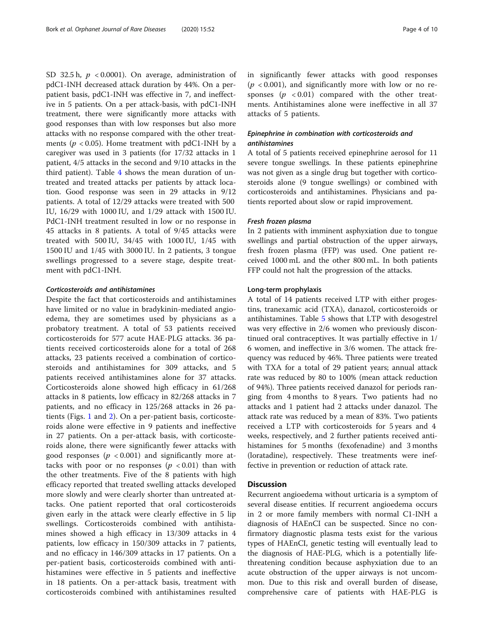SD 32.5 h,  $p < 0.0001$ ). On average, administration of pdC1-INH decreased attack duration by 44%. On a perpatient basis, pdC1-INH was effective in 7, and ineffective in 5 patients. On a per attack-basis, with pdC1-INH treatment, there were significantly more attacks with good responses than with low responses but also more attacks with no response compared with the other treatments ( $p < 0.05$ ). Home treatment with pdC1-INH by a caregiver was used in 3 patients (for 17/32 attacks in 1 patient, 4/5 attacks in the second and 9/10 attacks in the third patient). Table [4](#page-4-0) shows the mean duration of untreated and treated attacks per patients by attack location. Good response was seen in 29 attacks in 9/12 patients. A total of 12/29 attacks were treated with 500 IU, 16/29 with 1000 IU, and 1/29 attack with 1500 IU. PdC1-INH treatment resulted in low or no response in 45 attacks in 8 patients. A total of 9/45 attacks were treated with 500 IU, 34/45 with 1000 IU, 1/45 with 1500 IU and 1/45 with 3000 IU. In 2 patients, 3 tongue swellings progressed to a severe stage, despite treatment with pdC1-INH.

#### Corticosteroids and antihistamines

Despite the fact that corticosteroids and antihistamines have limited or no value in bradykinin-mediated angioedema, they are sometimes used by physicians as a probatory treatment. A total of 53 patients received corticosteroids for 577 acute HAE-PLG attacks. 36 patients received corticosteroids alone for a total of 268 attacks, 23 patients received a combination of corticosteroids and antihistamines for 309 attacks, and 5 patients received antihistamines alone for 37 attacks. Corticosteroids alone showed high efficacy in 61/268 attacks in 8 patients, low efficacy in 82/268 attacks in 7 patients, and no efficacy in 125/268 attacks in 26 patients (Figs. [1](#page-5-0) and [2](#page-5-0)). On a per-patient basis, corticosteroids alone were effective in 9 patients and ineffective in 27 patients. On a per-attack basis, with corticosteroids alone, there were significantly fewer attacks with good responses ( $p < 0.001$ ) and significantly more attacks with poor or no responses  $(p < 0.01)$  than with the other treatments. Five of the 8 patients with high efficacy reported that treated swelling attacks developed more slowly and were clearly shorter than untreated attacks. One patient reported that oral corticosteroids given early in the attack were clearly effective in 5 lip swellings. Corticosteroids combined with antihistamines showed a high efficacy in 13/309 attacks in 4 patients, low efficacy in 150/309 attacks in 7 patients, and no efficacy in 146/309 attacks in 17 patients. On a per-patient basis, corticosteroids combined with antihistamines were effective in 5 patients and ineffective in 18 patients. On a per-attack basis, treatment with corticosteroids combined with antihistamines resulted in significantly fewer attacks with good responses  $(p < 0.001)$ , and significantly more with low or no responses  $(p \lt 0.01)$  compared with the other treatments. Antihistamines alone were ineffective in all 37 attacks of 5 patients.

#### Epinephrine in combination with corticosteroids and antihistamines

A total of 5 patients received epinephrine aerosol for 11 severe tongue swellings. In these patients epinephrine was not given as a single drug but together with corticosteroids alone (9 tongue swellings) or combined with corticosteroids and antihistamines. Physicians and patients reported about slow or rapid improvement.

#### Fresh frozen plasma

In 2 patients with imminent asphyxiation due to tongue swellings and partial obstruction of the upper airways, fresh frozen plasma (FFP) was used. One patient received 1000 mL and the other 800 mL. In both patients FFP could not halt the progression of the attacks.

#### Long-term prophylaxis

A total of 14 patients received LTP with either progestins, tranexamic acid (TXA), danazol, corticosteroids or antihistamines. Table [5](#page-6-0) shows that LTP with desogestrel was very effective in 2/6 women who previously discontinued oral contraceptives. It was partially effective in 1/ 6 women, and ineffective in 3/6 women. The attack frequency was reduced by 46%. Three patients were treated with TXA for a total of 29 patient years; annual attack rate was reduced by 80 to 100% (mean attack reduction of 94%). Three patients received danazol for periods ranging from 4 months to 8 years. Two patients had no attacks and 1 patient had 2 attacks under danazol. The attack rate was reduced by a mean of 83%. Two patients received a LTP with corticosteroids for 5 years and 4 weeks, respectively, and 2 further patients received antihistamines for 5 months (fexofenadine) and 3 months (loratadine), respectively. These treatments were ineffective in prevention or reduction of attack rate.

#### **Discussion**

Recurrent angioedema without urticaria is a symptom of several disease entities. If recurrent angioedema occurs in 2 or more family members with normal C1-INH a diagnosis of HAEnCI can be suspected. Since no confirmatory diagnostic plasma tests exist for the various types of HAEnCI, genetic testing will eventually lead to the diagnosis of HAE-PLG, which is a potentially lifethreatening condition because asphyxiation due to an acute obstruction of the upper airways is not uncommon. Due to this risk and overall burden of disease, comprehensive care of patients with HAE-PLG is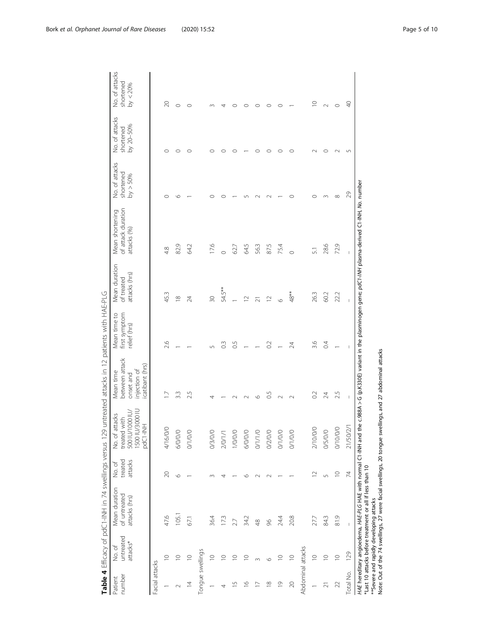|                                   | į<br>$\frac{1}{2}$              |
|-----------------------------------|---------------------------------|
|                                   | $\frac{2}{\pi}$<br>ï            |
| $\frac{1}{2}$                     |                                 |
| raine 17 estimat<br>$\frac{1}{2}$ | $-70 + 1000 + 7$                |
| í                                 | $+1.00$<br>$\ddot{\phantom{a}}$ |
| )<br>T                            | ļ<br>$\frac{1}{3}$              |
|                                   | ֚֚֡֡֡֡֡֡֡֡֡֡֡֡                  |
| ľ<br>$\overline{1}$               | $-2+100$                        |
| j<br>ر<br>نوم                     | No ot                           |
| Table 4                           | Patient                         |

<span id="page-4-0"></span>

| number<br>Patient       | untreated<br>attacks*<br>No. of | Mean duration<br>of untreated<br>attacks (hrs)                                                                            | treated<br>attacks<br>No. of | 1500 IU/3000 IL<br><b>200 IU/1000 IU/</b><br>attacks<br>treated with<br>PdC1-INH<br>No. of | between attack<br>catibant (hrs)<br>injection of<br>Mean time<br>onset and | Mean time to<br>first symptom<br>relief (hrs) | Mean duration<br>attacks (hrs)<br>of treated | of attack duration<br>Mean shortening<br>attacks (%)                                                      | No. of attacks<br>shortened<br>by > 50% | No. of attacks<br>by 20-50%<br>shortened | No. of attacks<br>shortened<br>by < 20% |
|-------------------------|---------------------------------|---------------------------------------------------------------------------------------------------------------------------|------------------------------|--------------------------------------------------------------------------------------------|----------------------------------------------------------------------------|-----------------------------------------------|----------------------------------------------|-----------------------------------------------------------------------------------------------------------|-----------------------------------------|------------------------------------------|-----------------------------------------|
| Facial attacks          |                                 |                                                                                                                           |                              |                                                                                            |                                                                            |                                               |                                              |                                                                                                           |                                         |                                          |                                         |
|                         | $\supseteq$                     | 47.6                                                                                                                      | $\geqslant$                  | 4/16/0/0                                                                                   |                                                                            | 2.6                                           | 45.3                                         | 4.8                                                                                                       |                                         | 0                                        | $\approx$                               |
|                         | $\circ$                         | 105.                                                                                                                      | $\circ$                      | 6/0/0/0                                                                                    | 33                                                                         |                                               | $\infty$                                     | 82.9                                                                                                      | ١C                                      | C                                        | $\circ$                                 |
| $\overline{4}$          | $\supseteq$                     | 67.1                                                                                                                      |                              | 0/1/0/                                                                                     | ŋ                                                                          |                                               | 24                                           | <b>64.2</b>                                                                                               |                                         |                                          |                                         |
| Tongue swellings        |                                 |                                                                                                                           |                              |                                                                                            |                                                                            |                                               |                                              |                                                                                                           |                                         |                                          |                                         |
|                         | $\supseteq$                     | 36.4                                                                                                                      |                              | 0/3/0/0                                                                                    |                                                                            |                                               | 30                                           | 17.6                                                                                                      |                                         |                                          |                                         |
|                         | $\supseteq$                     | 173                                                                                                                       |                              | 2/0/1/1                                                                                    |                                                                            | $\frac{3}{2}$                                 | 54.5**                                       | $\circ$                                                                                                   |                                         |                                          |                                         |
| 5                       | $\subseteq$                     | 27                                                                                                                        |                              | 1/0/0/0                                                                                    |                                                                            | 0.5                                           |                                              | 62.7                                                                                                      |                                         |                                          |                                         |
| $\circ$                 | $\supseteq$                     | 34.2                                                                                                                      |                              | 6/0/0/0                                                                                    |                                                                            |                                               | $\supseteq$                                  | 5 kg                                                                                                      |                                         |                                          |                                         |
|                         |                                 | $\frac{8}{3}$                                                                                                             |                              | 0/1/1/0                                                                                    |                                                                            |                                               |                                              | 56.3                                                                                                      |                                         |                                          |                                         |
| $\frac{\infty}{\infty}$ | $\circ$                         | 86                                                                                                                        |                              | 0/2/0/0                                                                                    | 0.5                                                                        | 0.2                                           | $\approx$                                    | 87.5                                                                                                      |                                         |                                          | C                                       |
| $\overline{0}$          | $\supseteq$                     | 24.4                                                                                                                      |                              | 0/1/0/0                                                                                    |                                                                            |                                               | $\circ$                                      | 75.4                                                                                                      |                                         |                                          | $\circ$                                 |
| $\approx$               | $\supseteq$                     | 20.8                                                                                                                      |                              | 0/1/0/0                                                                                    |                                                                            | 24                                            | 48**                                         | $\circ$                                                                                                   |                                         |                                          |                                         |
| Abdominal attacks       |                                 |                                                                                                                           |                              |                                                                                            |                                                                            |                                               |                                              |                                                                                                           |                                         |                                          |                                         |
|                         | $\supseteq$                     | 27.7                                                                                                                      | $\overline{1}$               | 2/10/0/0                                                                                   | $\approx$                                                                  | 3.6                                           | 263                                          | $\overline{51}$                                                                                           |                                         |                                          | $\supseteq$                             |
| $\overline{2}1$         | $\supseteq$                     | 84.3                                                                                                                      | 5                            | 0/5/0/0                                                                                    | 24                                                                         | 0.4                                           | 60.2                                         | 28.6                                                                                                      |                                         |                                          | $\sim$                                  |
| 22                      | $\supseteq$                     | 81.9                                                                                                                      | $\frac{1}{2}$                | 0/10/0/0                                                                                   | 2.5                                                                        |                                               | 22.2                                         | 72.9                                                                                                      | $\infty$                                |                                          | $\circ$                                 |
| Total No.               | 129                             |                                                                                                                           | 74                           | 21/50/2/1                                                                                  | $\mathsf I$                                                                |                                               | $\bar{\rm I}$                                | $\bar{\rm I}$                                                                                             | 29                                      | $\sqrt{2}$                               | $\Theta$                                |
|                         |                                 | HAE hereditary angioedema, HAE-PLG HAE with normal C1-INH and<br>*Last 10 attacks before treatment or all if less than 10 |                              |                                                                                            |                                                                            |                                               |                                              | the $c$ .988A > G (p.K330E) variant in the plasminogen gene; $pdC$ -/MH plasma-derived C1-INH, No. number |                                         |                                          |                                         |

\*\*Severe and rapidly developing attacks

Note: Out of the 74 swellings, 27 were facial swellings, 20 tongue swellings, and 27 abdominal attacks

\*\*Severe and rapidly developing attacks<br>Note: Out of the 74 swellings, 27 were facial swellings, 20 tongue swellings, and 27 abdominal attacks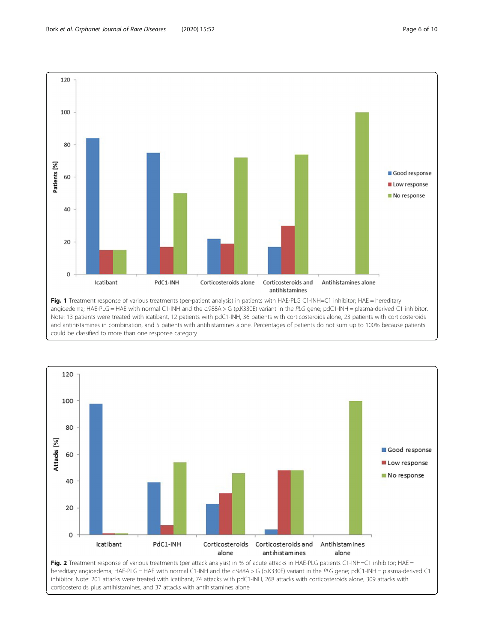<span id="page-5-0"></span>



inhibitor. Note: 201 attacks were treated with icatibant, 74 attacks with pdC1-INH, 268 attacks with corticosteroids alone, 309 attacks with corticosteroids plus antihistamines, and 37 attacks with antihistamines alone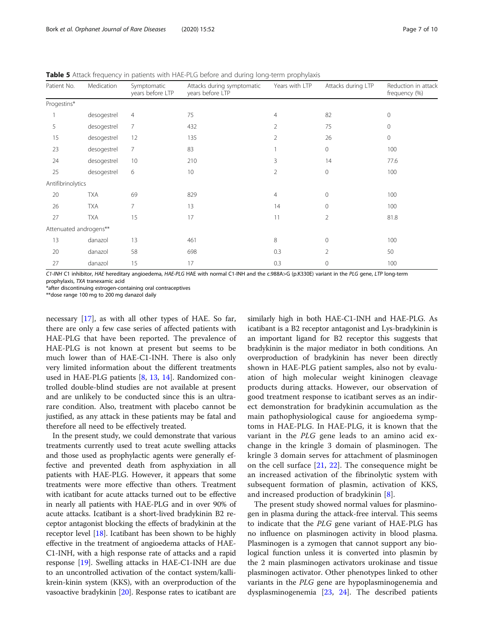<span id="page-6-0"></span>Table 5 Attack frequency in patients with HAE-PLG before and during long-term prophylaxis

| Patient No.            | Medication  | Symptomatic<br>years before LTP | Attacks during symptomatic<br>years before LTP | Years with LTP | Attacks during LTP | Reduction in attack<br>frequency (%) |
|------------------------|-------------|---------------------------------|------------------------------------------------|----------------|--------------------|--------------------------------------|
| Progestins*            |             |                                 |                                                |                |                    |                                      |
|                        | desogestrel | 4                               | 75                                             | 4              | 82                 | $\mathbf 0$                          |
| 5                      | desogestrel | $\overline{7}$                  | 432                                            | 2              | 75                 | $\mathbf{0}$                         |
| 15                     | desogestrel | 12                              | 135                                            | $\overline{2}$ | 26                 | $\mathbf 0$                          |
| 23                     | desogestrel | 7                               | 83                                             |                | $\mathbf{0}$       | 100                                  |
| 24                     | desogestrel | 10                              | 210                                            | 3              | 14                 | 77.6                                 |
| 25                     | desogestrel | 6                               | 10                                             | $\overline{2}$ | $\mathbf{0}$       | 100                                  |
| Antifibrinolytics      |             |                                 |                                                |                |                    |                                      |
| 20                     | <b>TXA</b>  | 69                              | 829                                            | 4              | $\mathbf{0}$       | 100                                  |
| 26                     | <b>TXA</b>  | $\overline{7}$                  | 13                                             | 14             | $\mathbf{0}$       | 100                                  |
| 27                     | <b>TXA</b>  | 15                              | 17                                             | 11             | 2                  | 81.8                                 |
| Attenuated androgens** |             |                                 |                                                |                |                    |                                      |
| 13                     | danazol     | 13                              | 461                                            | 8              | $\mathbf{0}$       | 100                                  |
| 20                     | danazol     | 58                              | 698                                            | 0.3            | $\overline{2}$     | 50                                   |
| 27                     | danazol     | 15                              | 17                                             | 0.3            | $\mathbf{0}$       | 100                                  |

C1-INH C1 inhibitor, HAE hereditary angioedema, HAE-PLG HAE with normal C1-INH and the c.988A>G (p.K330E) variant in the PLG gene, LTP long-term prophylaxis, TXA tranexamic acid

\*after discontinuing estrogen-containing oral contraceptives

\*\*dose range 100 mg to 200 mg danazol daily

necessary [\[17\]](#page-9-0), as with all other types of HAE. So far, there are only a few case series of affected patients with HAE-PLG that have been reported. The prevalence of HAE-PLG is not known at present but seems to be much lower than of HAE-C1-INH. There is also only very limited information about the different treatments used in HAE-PLG patients [[8,](#page-9-0) [13](#page-9-0), [14](#page-9-0)]. Randomized controlled double-blind studies are not available at present and are unlikely to be conducted since this is an ultrarare condition. Also, treatment with placebo cannot be justified, as any attack in these patients may be fatal and therefore all need to be effectively treated.

In the present study, we could demonstrate that various treatments currently used to treat acute swelling attacks and those used as prophylactic agents were generally effective and prevented death from asphyxiation in all patients with HAE-PLG. However, it appears that some treatments were more effective than others. Treatment with icatibant for acute attacks turned out to be effective in nearly all patients with HAE-PLG and in over 90% of acute attacks. Icatibant is a short-lived bradykinin B2 receptor antagonist blocking the effects of bradykinin at the receptor level [[18](#page-9-0)]. Icatibant has been shown to be highly effective in the treatment of angioedema attacks of HAE-C1-INH, with a high response rate of attacks and a rapid response [\[19\]](#page-9-0). Swelling attacks in HAE-C1-INH are due to an uncontrolled activation of the contact system/kallikrein-kinin system (KKS), with an overproduction of the vasoactive bradykinin [\[20\]](#page-9-0). Response rates to icatibant are

similarly high in both HAE-C1-INH and HAE-PLG. As icatibant is a B2 receptor antagonist and Lys-bradykinin is an important ligand for B2 receptor this suggests that bradykinin is the major mediator in both conditions. An overproduction of bradykinin has never been directly shown in HAE-PLG patient samples, also not by evaluation of high molecular weight kininogen cleavage products during attacks. However, our observation of good treatment response to icatibant serves as an indirect demonstration for bradykinin accumulation as the main pathophysiological cause for angioedema symptoms in HAE-PLG. In HAE-PLG, it is known that the variant in the PLG gene leads to an amino acid exchange in the kringle 3 domain of plasminogen. The kringle 3 domain serves for attachment of plasminogen on the cell surface [[21,](#page-9-0) [22](#page-9-0)]. The consequence might be an increased activation of the fibrinolytic system with subsequent formation of plasmin, activation of KKS, and increased production of bradykinin [[8\]](#page-9-0).

The present study showed normal values for plasminogen in plasma during the attack-free interval. This seems to indicate that the PLG gene variant of HAE-PLG has no influence on plasminogen activity in blood plasma. Plasminogen is a zymogen that cannot support any biological function unless it is converted into plasmin by the 2 main plasminogen activators urokinase and tissue plasminogen activator. Other phenotypes linked to other variants in the PLG gene are hypoplasminogenemia and dysplasminogenemia [[23,](#page-9-0) [24](#page-9-0)]. The described patients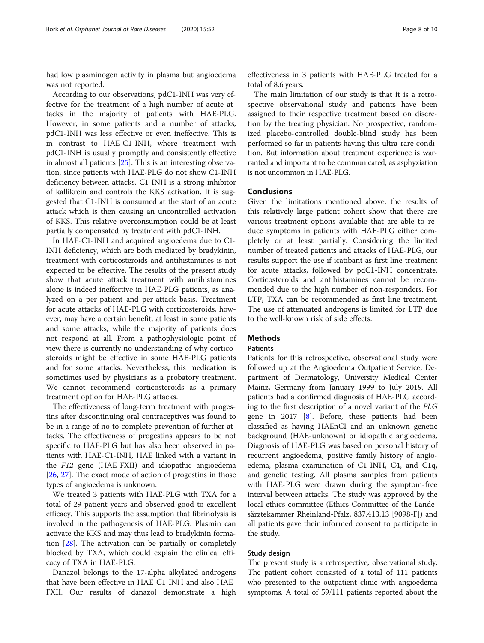had low plasminogen activity in plasma but angioedema was not reported.

According to our observations, pdC1-INH was very effective for the treatment of a high number of acute attacks in the majority of patients with HAE-PLG. However, in some patients and a number of attacks, pdC1-INH was less effective or even ineffective. This is in contrast to HAE-C1-INH, where treatment with pdC1-INH is usually promptly and consistently effective in almost all patients [\[25](#page-9-0)]. This is an interesting observation, since patients with HAE-PLG do not show C1-INH deficiency between attacks. C1-INH is a strong inhibitor of kallikrein and controls the KKS activation. It is suggested that C1-INH is consumed at the start of an acute attack which is then causing an uncontrolled activation of KKS. This relative overconsumption could be at least partially compensated by treatment with pdC1-INH.

In HAE-C1-INH and acquired angioedema due to C1- INH deficiency, which are both mediated by bradykinin, treatment with corticosteroids and antihistamines is not expected to be effective. The results of the present study show that acute attack treatment with antihistamines alone is indeed ineffective in HAE-PLG patients, as analyzed on a per-patient and per-attack basis. Treatment for acute attacks of HAE-PLG with corticosteroids, however, may have a certain benefit, at least in some patients and some attacks, while the majority of patients does not respond at all. From a pathophysiologic point of view there is currently no understanding of why corticosteroids might be effective in some HAE-PLG patients and for some attacks. Nevertheless, this medication is sometimes used by physicians as a probatory treatment. We cannot recommend corticosteroids as a primary treatment option for HAE-PLG attacks.

The effectiveness of long-term treatment with progestins after discontinuing oral contraceptives was found to be in a range of no to complete prevention of further attacks. The effectiveness of progestins appears to be not specific to HAE-PLG but has also been observed in patients with HAE-C1-INH, HAE linked with a variant in the F12 gene (HAE-FXII) and idiopathic angioedema [[26,](#page-9-0) [27\]](#page-9-0). The exact mode of action of progestins in those types of angioedema is unknown.

We treated 3 patients with HAE-PLG with TXA for a total of 29 patient years and observed good to excellent efficacy. This supports the assumption that fibrinolysis is involved in the pathogenesis of HAE-PLG. Plasmin can activate the KKS and may thus lead to bradykinin formation [\[28](#page-9-0)]. The activation can be partially or completely blocked by TXA, which could explain the clinical efficacy of TXA in HAE-PLG.

Danazol belongs to the 17-alpha alkylated androgens that have been effective in HAE-C1-INH and also HAE-FXII. Our results of danazol demonstrate a high effectiveness in 3 patients with HAE-PLG treated for a total of 8.6 years.

The main limitation of our study is that it is a retrospective observational study and patients have been assigned to their respective treatment based on discretion by the treating physician. No prospective, randomized placebo-controlled double-blind study has been performed so far in patients having this ultra-rare condition. But information about treatment experience is warranted and important to be communicated, as asphyxiation is not uncommon in HAE-PLG.

#### Conclusions

Given the limitations mentioned above, the results of this relatively large patient cohort show that there are various treatment options available that are able to reduce symptoms in patients with HAE-PLG either completely or at least partially. Considering the limited number of treated patients and attacks of HAE-PLG, our results support the use if icatibant as first line treatment for acute attacks, followed by pdC1-INH concentrate. Corticosteroids and antihistamines cannot be recommended due to the high number of non-responders. For LTP, TXA can be recommended as first line treatment. The use of attenuated androgens is limited for LTP due to the well-known risk of side effects.

#### **Methods**

#### **Patients**

Patients for this retrospective, observational study were followed up at the Angioedema Outpatient Service, Department of Dermatology, University Medical Center Mainz, Germany from January 1999 to July 2019. All patients had a confirmed diagnosis of HAE-PLG according to the first description of a novel variant of the PLG gene in 2017 [\[8](#page-9-0)]. Before, these patients had been classified as having HAEnCI and an unknown genetic background (HAE-unknown) or idiopathic angioedema. Diagnosis of HAE-PLG was based on personal history of recurrent angioedema, positive family history of angioedema, plasma examination of C1-INH, C4, and C1q, and genetic testing. All plasma samples from patients with HAE-PLG were drawn during the symptom-free interval between attacks. The study was approved by the local ethics committee (Ethics Committee of the Landesärztekammer Rheinland-Pfalz, 837.413.13 [9098-F]) and all patients gave their informed consent to participate in the study.

#### Study design

The present study is a retrospective, observational study. The patient cohort consisted of a total of 111 patients who presented to the outpatient clinic with angioedema symptoms. A total of 59/111 patients reported about the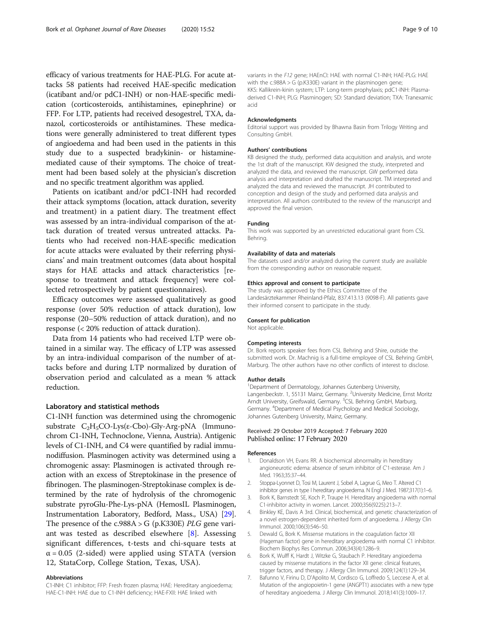<span id="page-8-0"></span>efficacy of various treatments for HAE-PLG. For acute attacks 58 patients had received HAE-specific medication (icatibant and/or pdC1-INH) or non-HAE-specific medication (corticosteroids, antihistamines, epinephrine) or FFP. For LTP, patients had received desogestrel, TXA, danazol, corticosteroids or antihistamines. These medications were generally administered to treat different types of angioedema and had been used in the patients in this study due to a suspected bradykinin- or histaminemediated cause of their symptoms. The choice of treatment had been based solely at the physician's discretion and no specific treatment algorithm was applied.

Patients on icatibant and/or pdC1-INH had recorded their attack symptoms (location, attack duration, severity and treatment) in a patient diary. The treatment effect was assessed by an intra-individual comparison of the attack duration of treated versus untreated attacks. Patients who had received non-HAE-specific medication for acute attacks were evaluated by their referring physicians' and main treatment outcomes (data about hospital stays for HAE attacks and attack characteristics [response to treatment and attack frequency] were collected retrospectively by patient questionnaires).

Efficacy outcomes were assessed qualitatively as good response (over 50% reduction of attack duration), low response (20–50% reduction of attack duration), and no response (< 20% reduction of attack duration).

Data from 14 patients who had received LTP were obtained in a similar way. The efficacy of LTP was assessed by an intra-individual comparison of the number of attacks before and during LTP normalized by duration of observation period and calculated as a mean % attack reduction.

#### Laboratory and statistical methods

C1-INH function was determined using the chromogenic substrate  $C_2H_5CO$ -Lys(ε-Cbo)-Gly-Arg-pNA (Immunochrom C1-INH, Technoclone, Vienna, Austria). Antigenic levels of C1-INH, and C4 were quantified by radial immunodiffusion. Plasminogen activity was determined using a chromogenic assay: Plasminogen is activated through reaction with an excess of Streptokinase in the presence of fibrinogen. The plasminogen-Streptokinase complex is determined by the rate of hydrolysis of the chromogenic substrate pyroGlu-Phe-Lys-pNA (HemosIL Plasminogen, Instrumentation Laboratory, Bedford, Mass., USA) [[29](#page-9-0)]. The presence of the c.988A > G (p.K330E) *PLG* gene variant was tested as described elsewhere [\[8](#page-9-0)]. Assessing significant differences, t-tests and chi-square tests at  $\alpha$  = 0.05 (2-sided) were applied using STATA (version 12, StataCorp, College Station, Texas, USA).

#### Abbreviations

C1-INH: C1 inhibitor; FFP: Fresh frozen plasma; HAE: Hereditary angioedema; HAE-C1-INH: HAE due to C1-INH deficiency; HAE-FXII: HAE linked with

variants in the F12 gene; HAEnCI: HAE with normal C1-INH; HAE-PLG: HAE with the c.988A > G (p.K330E) variant in the plasminogen gene; KKS: Kallikrein-kinin system; LTP: Long-term prophylaxis; pdC1-INH: Plasmaderived C1-INH; PLG: Plasminogen; SD: Standard deviation; TXA: Tranexamic acid

#### Acknowledgments

Editorial support was provided by Bhawna Basin from Trilogy Writing and Consulting GmbH.

#### Authors' contributions

KB designed the study, performed data acquisition and analysis, and wrote the 1st draft of the manuscript. KW designed the study, interpreted and analyzed the data, and reviewed the manuscript. GW performed data analysis and interpretation and drafted the manuscript. TM interpreted and analyzed the data and reviewed the manuscript. JH contributed to conception and design of the study and performed data analysis and interpretation. All authors contributed to the review of the manuscript and approved the final version.

#### Funding

This work was supported by an unrestricted educational grant from CSL Behring.

#### Availability of data and materials

The datasets used and/or analyzed during the current study are available from the corresponding author on reasonable request.

#### Ethics approval and consent to participate

The study was approved by the Ethics Committee of the Landesärztekammer Rheinland-Pfalz, 837.413.13 (9098-F). All patients gave their informed consent to participate in the study.

#### Consent for publication

Not applicable.

#### Competing interests

Dr. Bork reports speaker fees from CSL Behring and Shire, outside the submitted work. Dr. Machnig is a full-time employee of CSL Behring GmbH, Marburg. The other authors have no other conflicts of interest to disclose.

#### Author details

<sup>1</sup>Department of Dermatology, Johannes Gutenberg University Langenbeckstr. 1, 55131 Mainz, Germany. <sup>2</sup>University Medicine, Ernst Moritz Arndt University, Greifswald, Germany. <sup>3</sup>CSL Behring GmbH, Marburg, Germany. <sup>4</sup> Department of Medical Psychology and Medical Sociology, Johannes Gutenberg University, Mainz, Germany.

#### Received: 29 October 2019 Accepted: 7 February 2020 Published online: 17 February 2020

#### References

- 1. Donaldson VH, Evans RR. A biochemical abnormality in hereditary angioneurotic edema: absence of serum inhibitor of C'1-esterase. Am J Med. 1963;35:37–44.
- 2. Stoppa-Lyonnet D, Tosi M, Laurent J, Sobel A, Lagrue G, Meo T. Altered C1 inhibitor genes in type I hereditary angioedema. N Engl J Med. 1987;317(1):1–6.
- 3. Bork K, Barnstedt SE, Koch P, Traupe H. Hereditary angioedema with normal C1-inhibitor activity in women. Lancet. 2000;356(9225):213–7.
- 4. Binkley KE, Davis A 3rd. Clinical, biochemical, and genetic characterization of a novel estrogen-dependent inherited form of angioedema. J Allergy Clin Immunol. 2000;106(3):546–50.
- 5. Dewald G, Bork K. Missense mutations in the coagulation factor XII (Hageman factor) gene in hereditary angioedema with normal C1 inhibitor. Biochem Biophys Res Commun. 2006;343(4):1286–9.
- 6. Bork K, Wulff K, Hardt J, Witzke G, Staubach P. Hereditary angioedema caused by missense mutations in the factor XII gene: clinical features, trigger factors, and therapy. J Allergy Clin Immunol. 2009;124(1):129–34.
- 7. Bafunno V, Firinu D, D'Apolito M, Cordisco G, Loffredo S, Leccese A, et al. Mutation of the angiopoietin-1 gene (ANGPT1) associates with a new type of hereditary angioedema. J Allergy Clin Immunol. 2018;141(3):1009–17.